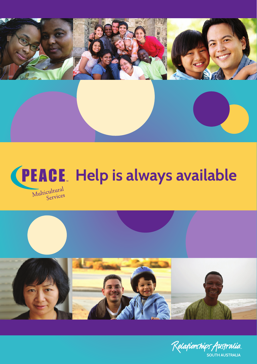





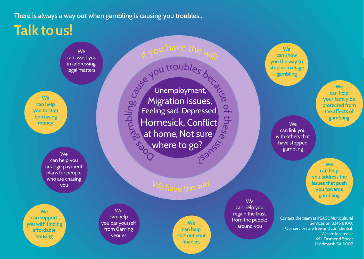**There is always a way out when gambling is causing you troubles...**

## **Talk to us!**

We can assist you in addressing legal matters

**We can help you to stop borrowing money**

> We can help you arrange payment plans for people who are chasing you

**We can support you with finding affordable housing**

Jose meg bling Cause you troubles because  $\frac{1}{2}$  $\overline{\phantom{0}}$ hese  $\mathfrak{S}$ isans Unemployment, Migration issues, Feeling sad, Depressed, Homesick, Conflict at home, Not sure where to go?

 $\kappa$  you have the  $_{\bm{\mathsf{Will}}}$ 

We can help you bar yourself from Gaming venues

**We can help sort out your finances**

We can help you regain the trust from the people around you

**We can show you the way to stop or manage gambling**

> **can help your family be protected from the affects of gambling**

**We** 

with others that have stopped gambling

We can link you

> **We can help you address the issues that push you towards gambling**

Contact the team at PEACE Multicultural Services on 8245 8100. Our services are free and confidential. We are located at 49a Orsmond Street Hindmarsh SA 5007